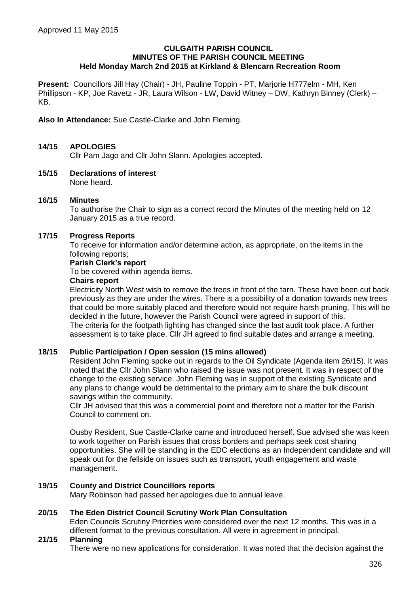#### **CULGAITH PARISH COUNCIL MINUTES OF THE PARISH COUNCIL MEETING Held Monday March 2nd 2015 at Kirkland & Blencarn Recreation Room**

**Present:** Councillors Jill Hay (Chair) - JH, Pauline Toppin - PT, Marjorie H777elm - MH, Ken Phillipson - KP, Joe Ravetz - JR, Laura Wilson - LW, David Witney – DW, Kathryn Binney (Clerk) – KB.

**Also In Attendance:** Sue Castle-Clarke and John Fleming.

# **14/15 APOLOGIES**

Cllr Pam Jago and Cllr John Slann. Apologies accepted.

**15/15 Declarations of interest** None heard.

### **16/15 Minutes**

To authorise the Chair to sign as a correct record the Minutes of the meeting held on 12 January 2015 as a true record.

### **17/15 Progress Reports**

To receive for information and/or determine action, as appropriate, on the items in the following reports;

#### **Parish Clerk's report**

To be covered within agenda items.

#### **Chairs report**

Electricity North West wish to remove the trees in front of the tarn. These have been cut back previously as they are under the wires. There is a possibility of a donation towards new trees that could be more suitably placed and therefore would not require harsh pruning. This will be decided in the future, however the Parish Council were agreed in support of this. The criteria for the footpath lighting has changed since the last audit took place. A further assessment is to take place. Cllr JH agreed to find suitable dates and arrange a meeting.

## **18/15 Public Participation / Open session (15 mins allowed)**

Resident John Fleming spoke out in regards to the Oil Syndicate (Agenda item 26/15). It was noted that the Cllr John Slann who raised the issue was not present. It was in respect of the change to the existing service. John Fleming was in support of the existing Syndicate and any plans to change would be detrimental to the primary aim to share the bulk discount savings within the community.

Cllr JH advised that this was a commercial point and therefore not a matter for the Parish Council to comment on.

Ousby Resident, Sue Castle-Clarke came and introduced herself. Sue advised she was keen to work together on Parish issues that cross borders and perhaps seek cost sharing opportunities. She will be standing in the EDC elections as an Independent candidate and will speak out for the fellside on issues such as transport, youth engagement and waste management.

## **19/15 County and District Councillors reports**

Mary Robinson had passed her apologies due to annual leave.

## **20/15 The Eden District Council Scrutiny Work Plan Consultation**

Eden Councils Scrutiny Priorities were considered over the next 12 months. This was in a different format to the previous consultation. All were in agreement in principal.

# **21/15 Planning**

There were no new applications for consideration. It was noted that the decision against the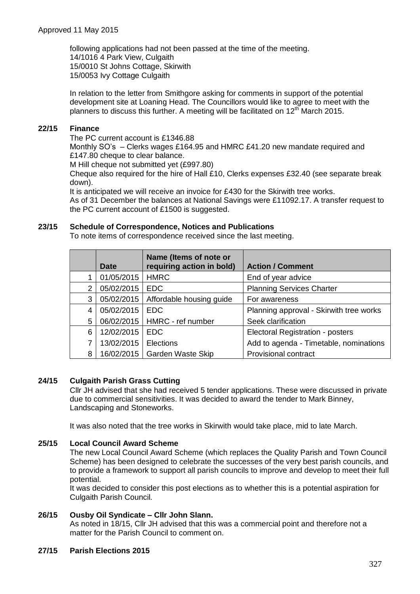following applications had not been passed at the time of the meeting. 14/1016 4 Park View, Culgaith 15/0010 St Johns Cottage, Skirwith 15/0053 Ivy Cottage Culgaith

In relation to the letter from Smithgore asking for comments in support of the potential development site at Loaning Head. The Councillors would like to agree to meet with the planners to discuss this further. A meeting will be facilitated on  $12^{th}$  March 2015.

# **22/15 Finance**

The PC current account is £1346.88

Monthly SO's – Clerks wages £164.95 and HMRC £41.20 new mandate required and £147.80 cheque to clear balance.

M Hill cheque not submitted yet (£997.80)

Cheque also required for the hire of Hall £10, Clerks expenses £32.40 (see separate break down).

It is anticipated we will receive an invoice for £430 for the Skirwith tree works.

As of 31 December the balances at National Savings were £11092.17. A transfer request to the PC current account of £1500 is suggested.

## **23/15 Schedule of Correspondence, Notices and Publications**

To note items of correspondence received since the last meeting.

|   | <b>Date</b> | Name (Items of note or<br>requiring action in bold) | <b>Action / Comment</b>                 |
|---|-------------|-----------------------------------------------------|-----------------------------------------|
|   | 01/05/2015  | <b>HMRC</b>                                         | End of year advice                      |
| 2 | 05/02/2015  | <b>EDC</b>                                          | <b>Planning Services Charter</b>        |
| 3 | 05/02/2015  | Affordable housing guide                            | For awareness                           |
| 4 | 05/02/2015  | <b>EDC</b>                                          | Planning approval - Skirwith tree works |
| 5 | 06/02/2015  | HMRC - ref number                                   | Seek clarification                      |
| 6 | 12/02/2015  | <b>EDC</b>                                          | Electoral Registration - posters        |
|   | 13/02/2015  | Elections                                           | Add to agenda - Timetable, nominations  |
| 8 | 16/02/2015  | <b>Garden Waste Skip</b>                            | Provisional contract                    |

## **24/15 Culgaith Parish Grass Cutting**

Cllr JH advised that she had received 5 tender applications. These were discussed in private due to commercial sensitivities. It was decided to award the tender to Mark Binney, Landscaping and Stoneworks.

It was also noted that the tree works in Skirwith would take place, mid to late March.

# **25/15 Local Council Award Scheme**

The new Local Council Award Scheme (which replaces the Quality Parish and Town Council Scheme) has been designed to celebrate the successes of the very best parish councils, and to provide a framework to support all parish councils to improve and develop to meet their full potential.

It was decided to consider this post elections as to whether this is a potential aspiration for Culgaith Parish Council.

## **26/15 Ousby Oil Syndicate – Cllr John Slann.**

As noted in 18/15, Cllr JH advised that this was a commercial point and therefore not a matter for the Parish Council to comment on.

## **27/15 Parish Elections 2015**